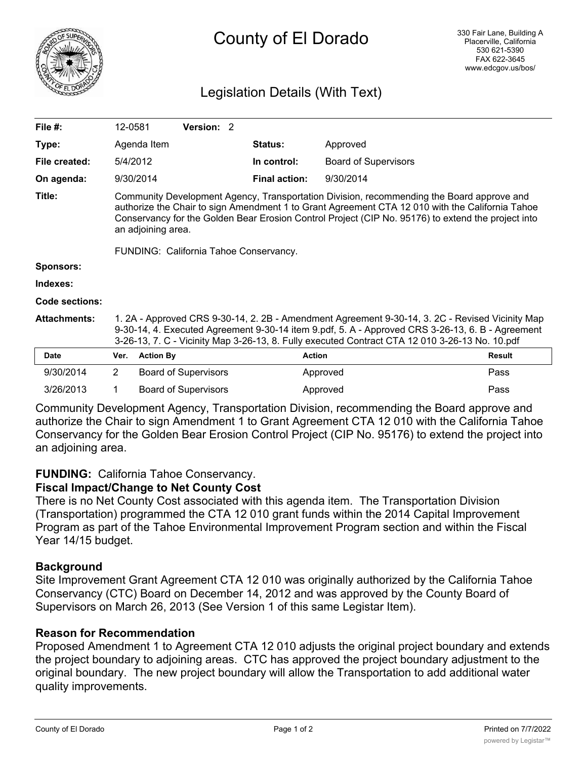

# Legislation Details (With Text)

| File $#$ :          | 12-0581                                                                                                                                                                                                                                                                                                                                                            |                  | Version: 2                  |  |                      |                             |               |
|---------------------|--------------------------------------------------------------------------------------------------------------------------------------------------------------------------------------------------------------------------------------------------------------------------------------------------------------------------------------------------------------------|------------------|-----------------------------|--|----------------------|-----------------------------|---------------|
| Type:               |                                                                                                                                                                                                                                                                                                                                                                    | Agenda Item      |                             |  | <b>Status:</b>       | Approved                    |               |
| File created:       | 5/4/2012                                                                                                                                                                                                                                                                                                                                                           |                  |                             |  | In control:          | <b>Board of Supervisors</b> |               |
| On agenda:          |                                                                                                                                                                                                                                                                                                                                                                    | 9/30/2014        |                             |  | <b>Final action:</b> | 9/30/2014                   |               |
| Title:              | Community Development Agency, Transportation Division, recommending the Board approve and<br>authorize the Chair to sign Amendment 1 to Grant Agreement CTA 12 010 with the California Tahoe<br>Conservancy for the Golden Bear Erosion Control Project (CIP No. 95176) to extend the project into<br>an adjoining area.<br>FUNDING: California Tahoe Conservancy. |                  |                             |  |                      |                             |               |
| <b>Sponsors:</b>    |                                                                                                                                                                                                                                                                                                                                                                    |                  |                             |  |                      |                             |               |
| Indexes:            |                                                                                                                                                                                                                                                                                                                                                                    |                  |                             |  |                      |                             |               |
| Code sections:      |                                                                                                                                                                                                                                                                                                                                                                    |                  |                             |  |                      |                             |               |
| <b>Attachments:</b> | 1. 2A - Approved CRS 9-30-14, 2. 2B - Amendment Agreement 9-30-14, 3. 2C - Revised Vicinity Map<br>9-30-14, 4. Executed Agreement 9-30-14 item 9.pdf, 5. A - Approved CRS 3-26-13, 6. B - Agreement<br>3-26-13, 7. C - Vicinity Map 3-26-13, 8. Fully executed Contract CTA 12 010 3-26-13 No. 10.pdf                                                              |                  |                             |  |                      |                             |               |
| <b>Date</b>         | Ver.                                                                                                                                                                                                                                                                                                                                                               | <b>Action By</b> |                             |  | <b>Action</b>        |                             | <b>Result</b> |
| 9/30/2014           | 2                                                                                                                                                                                                                                                                                                                                                                  |                  | <b>Board of Supervisors</b> |  |                      | Approved                    | Pass          |
| 3/26/2013           | 1                                                                                                                                                                                                                                                                                                                                                                  |                  | <b>Board of Supervisors</b> |  |                      | Approved                    | Pass          |

Community Development Agency, Transportation Division, recommending the Board approve and authorize the Chair to sign Amendment 1 to Grant Agreement CTA 12 010 with the California Tahoe Conservancy for the Golden Bear Erosion Control Project (CIP No. 95176) to extend the project into an adjoining area.

## **FUNDING:** California Tahoe Conservancy.

### **Fiscal Impact/Change to Net County Cost**

There is no Net County Cost associated with this agenda item. The Transportation Division (Transportation) programmed the CTA 12 010 grant funds within the 2014 Capital Improvement Program as part of the Tahoe Environmental Improvement Program section and within the Fiscal Year 14/15 budget.

### **Background**

Site Improvement Grant Agreement CTA 12 010 was originally authorized by the California Tahoe Conservancy (CTC) Board on December 14, 2012 and was approved by the County Board of Supervisors on March 26, 2013 (See Version 1 of this same Legistar Item).

### **Reason for Recommendation**

Proposed Amendment 1 to Agreement CTA 12 010 adjusts the original project boundary and extends the project boundary to adjoining areas. CTC has approved the project boundary adjustment to the original boundary. The new project boundary will allow the Transportation to add additional water quality improvements.